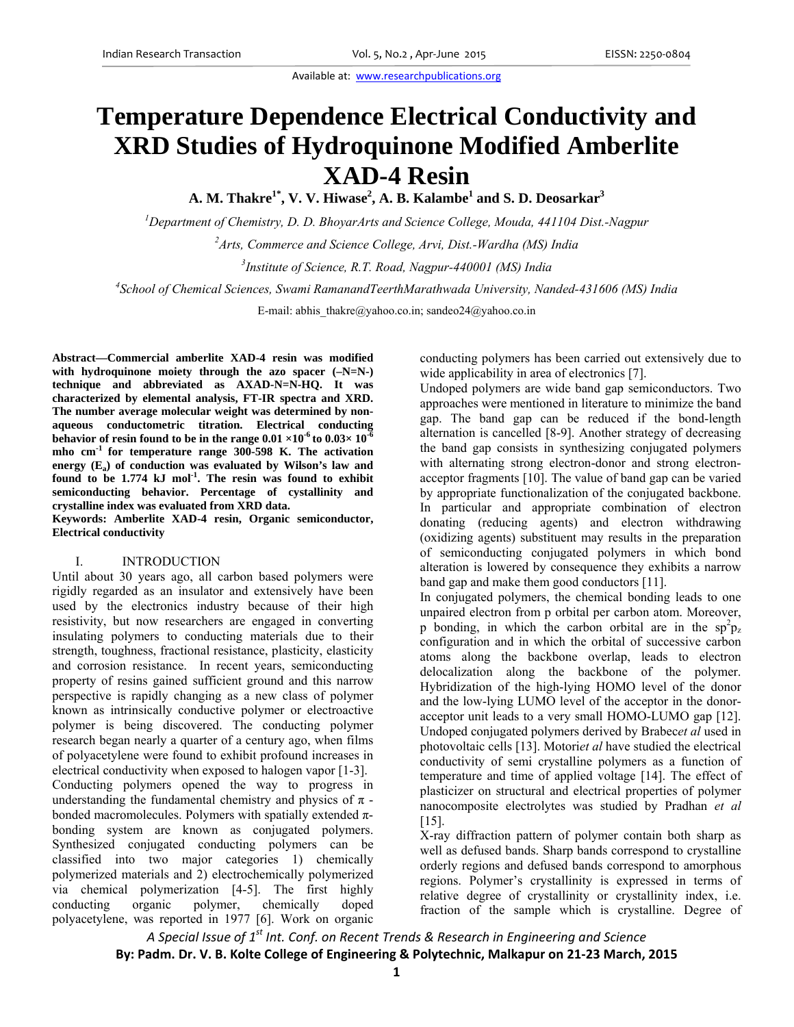# **Temperature Dependence Electrical Conductivity and XRD Studies of Hydroquinone Modified Amberlite XAD-4 Resin**

**A. M. Thakre1\*, V. V. Hiwase2 , A. B. Kalambe1 and S. D. Deosarkar3**

*1 Department of Chemistry, D. D. BhoyarArts and Science College, Mouda, 441104 Dist.-Nagpur* 

*2 Arts, Commerce and Science College, Arvi, Dist.-Wardha (MS) India* 

*3 Institute of Science, R.T. Road, Nagpur-440001 (MS) India*

*4 School of Chemical Sciences, Swami RamanandTeerthMarathwada University, Nanded-431606 (MS) India*

E-mail: abhis thakre@yahoo.co.in; sandeo24@yahoo.co.in

**Abstract—Commercial amberlite XAD-4 resin was modified with hydroquinone moiety through the azo spacer (–N=N-) technique and abbreviated as AXAD-N=N-HQ. It was characterized by elemental analysis, FT-IR spectra and XRD. The number average molecular weight was determined by nonaqueous conductometric titration. Electrical conducting behavior of resin found to be in the range**  $0.01 \times 10^{-6}$  **to**  $0.03 \times 10^{-6}$ **mho cm-1 for temperature range 300-598 K. The activation**  energy (E<sub>a</sub>) of conduction was evaluated by Wilson's law and **found to be 1.774 kJ mol-1. The resin was found to exhibit semiconducting behavior. Percentage of cystallinity and crystalline index was evaluated from XRD data.** 

**Keywords: Amberlite XAD-4 resin, Organic semiconductor, Electrical conductivity** 

## I. INTRODUCTION

Until about 30 years ago, all carbon based polymers were rigidly regarded as an insulator and extensively have been used by the electronics industry because of their high resistivity, but now researchers are engaged in converting insulating polymers to conducting materials due to their strength, toughness, fractional resistance, plasticity, elasticity and corrosion resistance. In recent years, semiconducting property of resins gained sufficient ground and this narrow perspective is rapidly changing as a new class of polymer known as intrinsically conductive polymer or electroactive polymer is being discovered. The conducting polymer research began nearly a quarter of a century ago, when films of polyacetylene were found to exhibit profound increases in electrical conductivity when exposed to halogen vapor [1-3]. Conducting polymers opened the way to progress in understanding the fundamental chemistry and physics of  $\pi$  bonded macromolecules. Polymers with spatially extended  $\pi$ bonding system are known as conjugated polymers. Synthesized conjugated conducting polymers can be classified into two major categories 1) chemically polymerized materials and 2) electrochemically polymerized via chemical polymerization [4-5]. The first highly conducting organic polymer, chemically doped polyacetylene, was reported in 1977 [6]. Work on organic

conducting polymers has been carried out extensively due to wide applicability in area of electronics [7].

Undoped polymers are wide band gap semiconductors. Two approaches were mentioned in literature to minimize the band gap. The band gap can be reduced if the bond-length alternation is cancelled [8-9]. Another strategy of decreasing the band gap consists in synthesizing conjugated polymers with alternating strong electron-donor and strong electronacceptor fragments [10]. The value of band gap can be varied by appropriate functionalization of the conjugated backbone. In particular and appropriate combination of electron donating (reducing agents) and electron withdrawing (oxidizing agents) substituent may results in the preparation of semiconducting conjugated polymers in which bond alteration is lowered by consequence they exhibits a narrow band gap and make them good conductors [11].

In conjugated polymers, the chemical bonding leads to one unpaired electron from p orbital per carbon atom. Moreover, p bonding, in which the carbon orbital are in the  $\text{sp}^2\text{p}_z$ configuration and in which the orbital of successive carbon atoms along the backbone overlap, leads to electron delocalization along the backbone of the polymer. Hybridization of the high-lying HOMO level of the donor and the low-lying LUMO level of the acceptor in the donoracceptor unit leads to a very small HOMO-LUMO gap [12]. Undoped conjugated polymers derived by Brabec*et al* used in photovoltaic cells [13]. Motori*et al* have studied the electrical conductivity of semi crystalline polymers as a function of temperature and time of applied voltage [14]. The effect of plasticizer on structural and electrical properties of polymer nanocomposite electrolytes was studied by Pradhan *et al* [15].

X-ray diffraction pattern of polymer contain both sharp as well as defused bands. Sharp bands correspond to crystalline orderly regions and defused bands correspond to amorphous regions. Polymer's crystallinity is expressed in terms of relative degree of crystallinity or crystallinity index, i.e. fraction of the sample which is crystalline. Degree of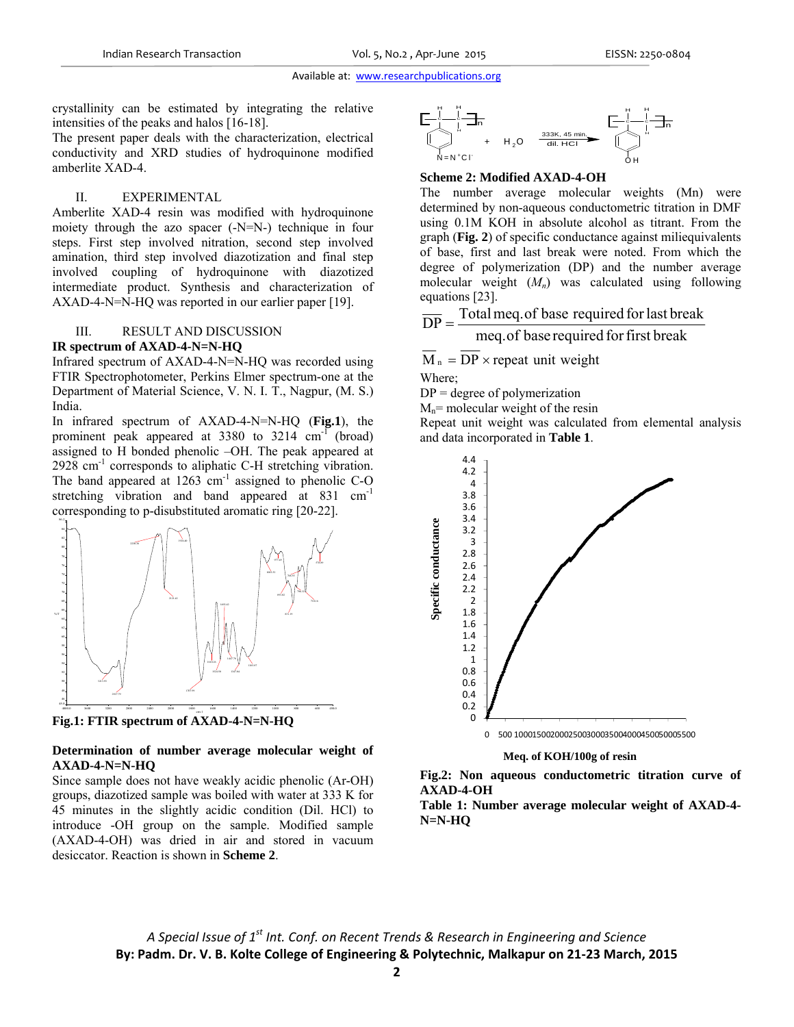crystallinity can be estimated by integrating the relative intensities of the peaks and halos [16-18].

The present paper deals with the characterization, electrical conductivity and XRD studies of hydroquinone modified amberlite XAD-4.

#### II. EXPERIMENTAL

Amberlite XAD-4 resin was modified with hydroquinone moiety through the azo spacer (-N=N-) technique in four steps. First step involved nitration, second step involved amination, third step involved diazotization and final step involved coupling of hydroquinone with diazotized intermediate product. Synthesis and characterization of AXAD-4-N=N-HQ was reported in our earlier paper [19].

# III. RESULT AND DISCUSSION

#### **IR spectrum of AXAD-4-N=N-HQ**

86.2

Infrared spectrum of AXAD-4-N=N-HQ was recorded using FTIR Spectrophotometer, Perkins Elmer spectrum-one at the Department of Material Science, V. N. I. T., Nagpur, (M. S.) India.

In infrared spectrum of AXAD-4-N=N-HQ (**Fig.1**), the prominent peak appeared at  $3380$  to  $3214 \text{ cm}^{-1}$  (broad) assigned to H bonded phenolic –OH. The peak appeared at  $2928 \text{ cm}^{-1}$  corresponds to aliphatic C-H stretching vibration. The band appeared at  $1263$  cm<sup>-1</sup> assigned to phenolic C-O stretching vibration and band appeared at 831 cm<sup>-1</sup> corresponding to p-disubstituted aromatic ring [20-22].



**Fig.1: FTIR spectrum of AXAD-4-N=N-HQ** 

# **Determination of number average molecular weight of AXAD-4-N=N-HQ**

Since sample does not have weakly acidic phenolic (Ar-OH) groups, diazotized sample was boiled with water at 333 K for 45 minutes in the slightly acidic condition (Dil. HCl) to introduce -OH group on the sample. Modified sample (AXAD-4-OH) was dried in air and stored in vacuum desiccator. Reaction is shown in **Scheme 2**.



# **Scheme 2: Modified AXAD-4-OH**

The number average molecular weights (Mn) were determined by non-aqueous conductometric titration in DMF using 0.1M KOH in absolute alcohol as titrant. From the graph (**Fig. 2**) of specific conductance against miliequivalents of base, first and last break were noted. From which the degree of polymerization (DP) and the number average molecular weight  $(M_n)$  was calculated using following equations [23].

$$
\overline{DP}
$$
 = Total meg of base required for last break

meq.of base required forfirst break

 $\overline{M}_n = \overline{DP} \times$  repeat unit weight Where;

 $DP = degree of polymerization$ 

 $M_n$ = molecular weight of the resin

Repeat unit weight was calculated from elemental analysis and data incorporated in **Table 1**.



## **Meq. of KOH/100g of resin**

**Fig.2: Non aqueous conductometric titration curve of AXAD-4-OH** 

**Table 1: Number average molecular weight of AXAD-4- N=N-HQ**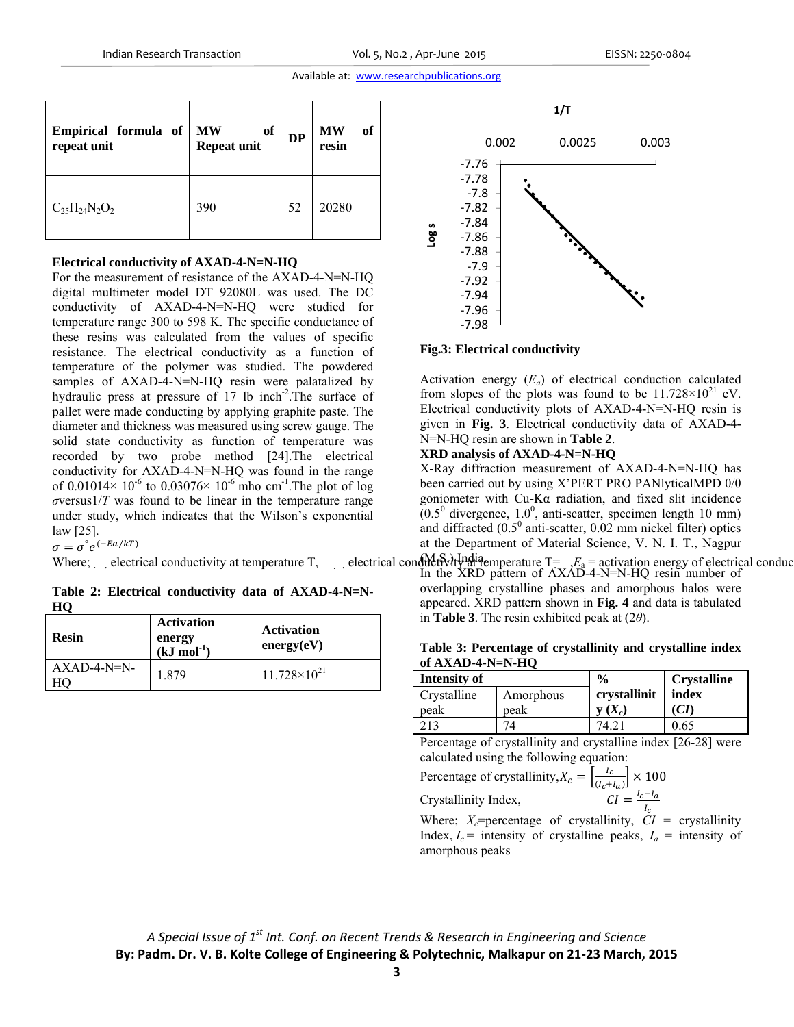| Empirical formula of<br>repeat unit | <b>MW</b><br>of<br><b>Repeat unit</b> | <b>DP</b> | <b>MW</b><br><sub>of</sub><br>resin |
|-------------------------------------|---------------------------------------|-----------|-------------------------------------|
| $C_{25}H_{24}N_2O_2$                | 390                                   | 52        | 20280                               |

#### **Electrical conductivity of AXAD-4-N=N-HQ**

For the measurement of resistance of the AXAD-4-N=N-HQ digital multimeter model DT 92080L was used. The DC conductivity of AXAD-4-N=N-HQ were studied for temperature range 300 to 598 K. The specific conductance of these resins was calculated from the values of specific resistance. The electrical conductivity as a function of temperature of the polymer was studied. The powdered samples of AXAD-4-N=N-HQ resin were palatalized by hydraulic press at pressure of 17 lb inch<sup>-2</sup>. The surface of pallet were made conducting by applying graphite paste. The diameter and thickness was measured using screw gauge. The solid state conductivity as function of temperature was recorded by two probe method [24].The electrical conductivity for AXAD-4-N=N-HQ was found in the range of 0.01014 $\times$  10<sup>-6</sup> to 0.03076 $\times$  10<sup>-6</sup> mho cm<sup>-1</sup>. The plot of log  $\sigma$ versus $1/T$  was found to be linear in the temperature range under study, which indicates that the Wilson's exponential law [25].

 $\sigma = \sigma^{\circ} e^{(-E a / kT)}$ 

**Table 2: Electrical conductivity data of AXAD-4-N=N-HQ** 

| <b>Resin</b>        | <b>Activation</b><br>energy<br>$(kJ \mod 1)$ | <b>Activation</b><br>energy(eV) |
|---------------------|----------------------------------------------|---------------------------------|
| $AXAD-4-N=N-$<br>HΟ | 1.879                                        | $11.728 \times 10^{21}$         |



## **Fig.3: Electrical conductivity**

Activation energy  $(E_a)$  of electrical conduction calculated from slopes of the plots was found to be  $11.728 \times 10^{21}$  eV. Electrical conductivity plots of AXAD-4-N=N-HQ resin is given in **Fig. 3**. Electrical conductivity data of AXAD-4- N=N-HQ resin are shown in **Table 2**.

## **XRD analysis of AXAD-4-N=N-HQ**

X-Ray diffraction measurement of AXAD-4-N=N-HQ has been carried out by using X'PERT PRO PANlyticalMPD θ/θ goniometer with Cu-Kα radiation, and fixed slit incidence  $(0.5^0$  divergence,  $1.0^0$ , anti-scatter, specimen length 10 mm) and diffracted  $(0.5^0$  anti-scatter,  $0.02$  mm nickel filter) optics at the Department of Material Science, V. N. I. T., Nagpur

Where; electrical conductivity at temperature T, electrical conductivity at a person energy of electrical conductivity at temperature  $T =$ ,  $E_a$  = activation energy of electrical conductivity at temperature T, In the XRD pattern of AXAD-4-N=N-HQ resin number of overlapping crystalline phases and amorphous halos were appeared. XRD pattern shown in **Fig. 4** and data is tabulated in **Table 3**. The resin exhibited peak at (2*θ*).

| of $AXAD-4-N=N-HO$ |           |                              |                    |  |  |  |
|--------------------|-----------|------------------------------|--------------------|--|--|--|
| Intensity of       |           | $\frac{0}{0}$                | <b>Crystalline</b> |  |  |  |
| Crystalline        | Amorphous | crystallinit                 | index              |  |  |  |
| peak               | peak      | $\mathbf{y}\left(X_c\right)$ | (CI)               |  |  |  |
| 213                |           |                              | 0.65               |  |  |  |

**Table 3: Percentage of crystallinity and crystalline index of AXAD-4-N=N-HQ** 

Percentage of crystallinity and crystalline index [26-28] were calculated using the following equation:

Percentage of crystallinity,  $X_c = \left[\frac{I_c}{(I_c + I_a)}\right] \times 100$ 

$$
C \text{rystallinity Index}, \qquad \qquad CI = \frac{I_c - I_a}{I_c}
$$

Where;  $X_c$ =percentage of crystallinity,  $CI =$  crystallinity Index,  $I_c$  = intensity of crystalline peaks,  $I_a$  = intensity of amorphous peaks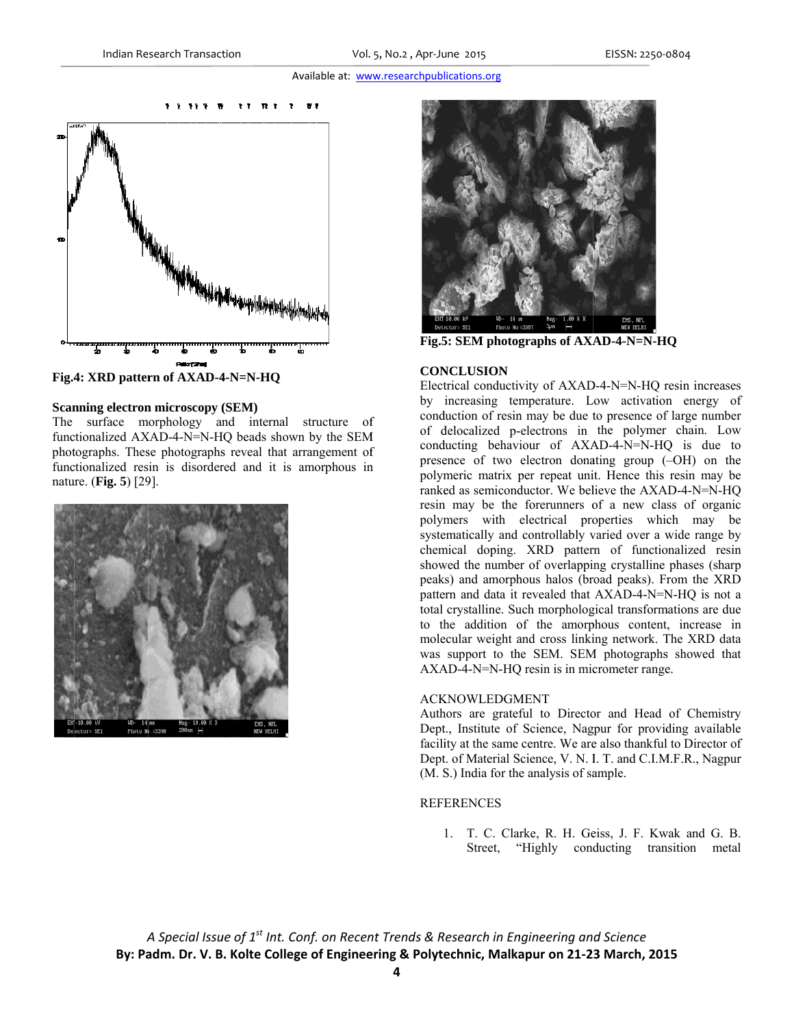

Fig.4: XRD pattern of AXAD-4-N=N-HQ

## **Scanning electron microscopy (SEM)**

The surface morphology and internal structure of functionalized AXAD-4-N=N-HQ beads shown by the SEM photographs. These photographs reveal that arrangement of functionalized resin is disordered and it is amorphous in nature. (Fig. 5) [29].





Fig.5: SEM photographs of AXAD-4-N=N-HQ

## **CONCLUSION**

Electrical conductivity of AXAD-4-N=N-HQ resin increases by increasing temperature. Low activation energy of conduction of resin may be due to presence of large number of delocalized p-electrons in the polymer chain. Low conducting behaviour of AXAD-4-N=N-HQ is due to presence of two electron donating group (-OH) on the polymeric matrix per repeat unit. Hence this resin may be ranked as semiconductor. We believe the AXAD-4-N=N-HO resin may be the forerunners of a new class of organic polymers with electrical properties which may be systematically and controllably varied over a wide range by chemical doping. XRD pattern of functionalized resin showed the number of overlapping crystalline phases (sharp) peaks) and amorphous halos (broad peaks). From the XRD pattern and data it revealed that AXAD-4-N=N-HQ is not a total crystalline. Such morphological transformations are due to the addition of the amorphous content, increase in molecular weight and cross linking network. The XRD data was support to the SEM. SEM photographs showed that AXAD-4-N=N-HQ resin is in micrometer range.

## **ACKNOWLEDGMENT**

Authors are grateful to Director and Head of Chemistry Dept., Institute of Science, Nagpur for providing available facility at the same centre. We are also thankful to Director of Dept. of Material Science, V. N. I. T. and C.I.M.F.R., Nagpur (M. S.) India for the analysis of sample.

## **REFERENCES**

1. T. C. Clarke, R. H. Geiss, J. F. Kwak and G. B. Street, "Highly conducting transition metal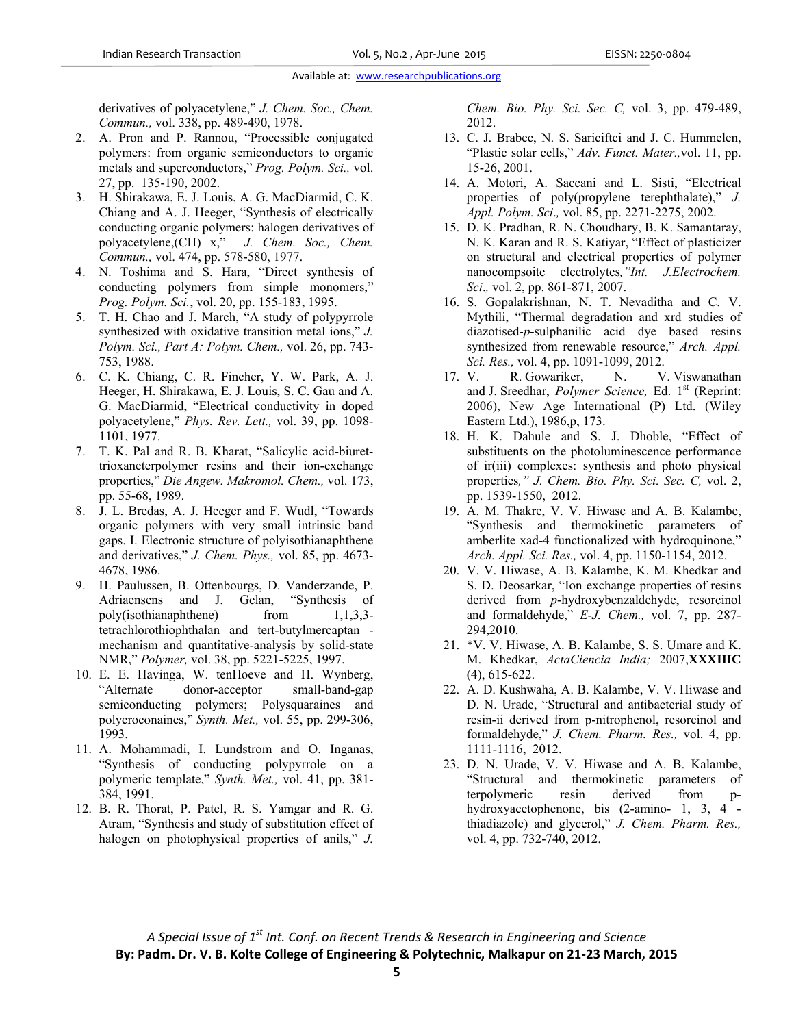derivatives of polyacetylene," *J. Chem. Soc., Chem. Commun.,* vol. 338, pp. 489-490, 1978.

- 2. A. Pron and P. Rannou, "Processible conjugated polymers: from organic semiconductors to organic metals and superconductors," *Prog. Polym. Sci.,* vol. 27, pp. 135-190, 2002.
- 3. H. Shirakawa, E. J. Louis, A. G. MacDiarmid, C. K. Chiang and A. J. Heeger, "Synthesis of electrically conducting organic polymers: halogen derivatives of polyacetylene,(CH) x," *J. Chem. Soc., Chem. Commun.,* vol. 474, pp. 578-580, 1977.
- 4. N. Toshima and S. Hara, "Direct synthesis of conducting polymers from simple monomers," *Prog. Polym. Sci.*, vol. 20, pp. 155-183, 1995.
- 5. T. H. Chao and J. March, "A study of polypyrrole synthesized with oxidative transition metal ions," *J. Polym. Sci., Part A: Polym. Chem.,* vol. 26, pp. 743- 753, 1988.
- 6. C. K. Chiang, C. R. Fincher, Y. W. Park, A. J. Heeger, H. Shirakawa, E. J. Louis, S. C. Gau and A. G. MacDiarmid, "Electrical conductivity in doped polyacetylene," *Phys. Rev. Lett.,* vol. 39, pp. 1098- 1101, 1977.
- 7. T. K. Pal and R. B. Kharat, "Salicylic acid-biurettrioxaneterpolymer resins and their ion-exchange properties," *Die Angew. Makromol. Chem.,* vol. 173, pp. 55-68, 1989.
- 8. J. L. Bredas, A. J. Heeger and F. Wudl, "Towards organic polymers with very small intrinsic band gaps. I. Electronic structure of polyisothianaphthene and derivatives," *J. Chem. Phys.,* vol. 85, pp. 4673- 4678, 1986.
- 9. H. Paulussen, B. Ottenbourgs, D. Vanderzande, P. Adriaensens and J. Gelan, "Synthesis of poly(isothianaphthene) from  $1,1,3,3$ tetrachlorothiophthalan and tert-butylmercaptan mechanism and quantitative-analysis by solid-state NMR," *Polymer,* vol. 38, pp. 5221-5225, 1997.
- 10. E. E. Havinga, W. tenHoeve and H. Wynberg, "Alternate donor-acceptor small-band-gap semiconducting polymers; Polysquaraines and polycroconaines," *Synth. Met.,* vol. 55, pp. 299-306, 1993.
- 11. A. Mohammadi, I. Lundstrom and O. Inganas, "Synthesis of conducting polypyrrole on a polymeric template," *Synth. Met.,* vol. 41, pp. 381- 384, 1991.
- 12. B. R. Thorat, P. Patel, R. S. Yamgar and R. G. Atram, "Synthesis and study of substitution effect of halogen on photophysical properties of anils," *J.*

*Chem. Bio. Phy. Sci. Sec. C,* vol. 3, pp. 479-489, 2012.

- 13. C. J. Brabec, N. S. Sariciftci and J. C. Hummelen, "Plastic solar cells," *Adv. Funct. Mater.,*vol. 11, pp. 15-26, 2001.
- 14. A. Motori, A. Saccani and L. Sisti, "Electrical properties of poly(propylene terephthalate)," *J. Appl. Polym. Sci*.*,* vol. 85, pp. 2271-2275, 2002.
- 15. D. K. Pradhan, R. N. Choudhary, B. K. Samantaray, N. K. Karan and R. S. Katiyar, "Effect of plasticizer on structural and electrical properties of polymer nanocompsoite electrolytes*,"Int. J.Electrochem. Sci*.*,* vol. 2, pp. 861-871, 2007.
- 16. S. Gopalakrishnan, N. T. Nevaditha and C. V. Mythili, "Thermal degradation and xrd studies of diazotised-*p*-sulphanilic acid dye based resins synthesized from renewable resource," *Arch. Appl. Sci. Res.,* vol. 4, pp. 1091-1099, 2012.
- 17. V. R. Gowariker, N. V. Viswanathan and J. Sreedhar, *Polymer Science*, Ed. 1<sup>st</sup> (Reprint: 2006), New Age International (P) Ltd. (Wiley Eastern Ltd.), 1986,p, 173.
- 18. H. K. Dahule and S. J. Dhoble, "Effect of substituents on the photoluminescence performance of ir(iii) complexes: synthesis and photo physical properties*," J. Chem. Bio. Phy. Sci. Sec. C,* vol. 2, pp. 1539-1550, 2012.
- 19. A. M. Thakre, V. V. Hiwase and A. B. Kalambe, "Synthesis and thermokinetic parameters of amberlite xad-4 functionalized with hydroquinone," *Arch. Appl. Sci. Res.,* vol. 4, pp. 1150-1154, 2012.
- 20. V. V. Hiwase, A. B. Kalambe, K. M. Khedkar and S. D. Deosarkar, "Ion exchange properties of resins derived from *p*-hydroxybenzaldehyde, resorcinol and formaldehyde," *E-J. Chem.,* vol. 7, pp. 287- 294,2010.
- 21. \*V. V. Hiwase, A. B. Kalambe, S. S. Umare and K. M. Khedkar, *ActaCiencia India;* 2007,**XXXIIIC** (4), 615-622.
- 22. A. D. Kushwaha, A. B. Kalambe, V. V. Hiwase and D. N. Urade, "Structural and antibacterial study of resin-ii derived from p-nitrophenol, resorcinol and formaldehyde," *J. Chem. Pharm. Res.,* vol. 4, pp. 1111-1116, 2012.
- 23. D. N. Urade, V. V. Hiwase and A. B. Kalambe, "Structural and thermokinetic parameters of terpolymeric resin derived from phydroxyacetophenone, bis (2-amino- 1, 3, 4 thiadiazole) and glycerol," *J. Chem. Pharm. Res.,* vol. 4, pp. 732-740, 2012.